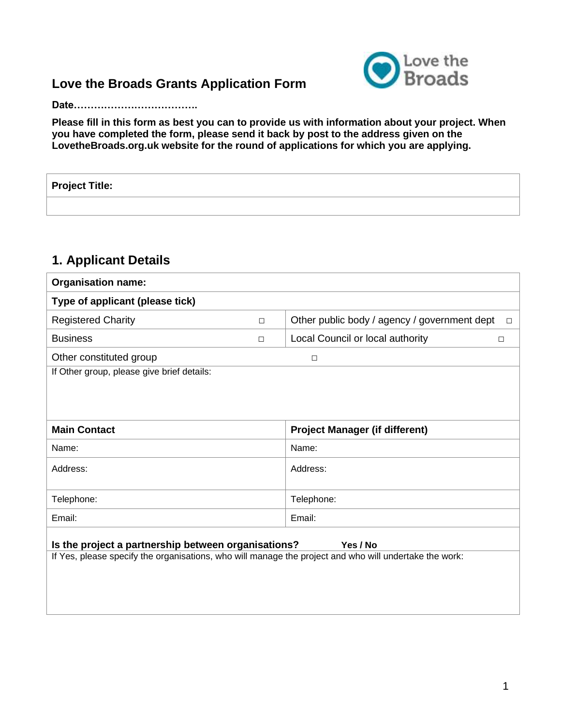## **Love the Broads Grants Application Form**



**Date……………………………….**

**Please fill in this form as best you can to provide us with information about your project. When you have completed the form, please send it back by post to the address given on the LovetheBroads.org.uk website for the round of applications for which you are applying.**

**Project Title:**

### **1. Applicant Details**

| <b>Organisation name:</b>                                                                                                                                                 |        |                                                        |  |  |
|---------------------------------------------------------------------------------------------------------------------------------------------------------------------------|--------|--------------------------------------------------------|--|--|
| Type of applicant (please tick)                                                                                                                                           |        |                                                        |  |  |
| <b>Registered Charity</b>                                                                                                                                                 | $\Box$ | Other public body / agency / government dept<br>$\Box$ |  |  |
| <b>Business</b>                                                                                                                                                           | $\Box$ | Local Council or local authority<br>$\Box$             |  |  |
| Other constituted group                                                                                                                                                   |        | $\Box$                                                 |  |  |
| If Other group, please give brief details:                                                                                                                                |        |                                                        |  |  |
|                                                                                                                                                                           |        |                                                        |  |  |
|                                                                                                                                                                           |        |                                                        |  |  |
| <b>Main Contact</b>                                                                                                                                                       |        | <b>Project Manager (if different)</b>                  |  |  |
| Name:                                                                                                                                                                     |        | Name:                                                  |  |  |
| Address:                                                                                                                                                                  |        | Address:                                               |  |  |
|                                                                                                                                                                           |        |                                                        |  |  |
| Telephone:                                                                                                                                                                |        | Telephone:                                             |  |  |
| Email:                                                                                                                                                                    |        | Email:                                                 |  |  |
|                                                                                                                                                                           |        |                                                        |  |  |
| Is the project a partnership between organisations?<br>Yes / No<br>If Yes, please specify the organisations, who will manage the project and who will undertake the work: |        |                                                        |  |  |
|                                                                                                                                                                           |        |                                                        |  |  |
|                                                                                                                                                                           |        |                                                        |  |  |
|                                                                                                                                                                           |        |                                                        |  |  |
|                                                                                                                                                                           |        |                                                        |  |  |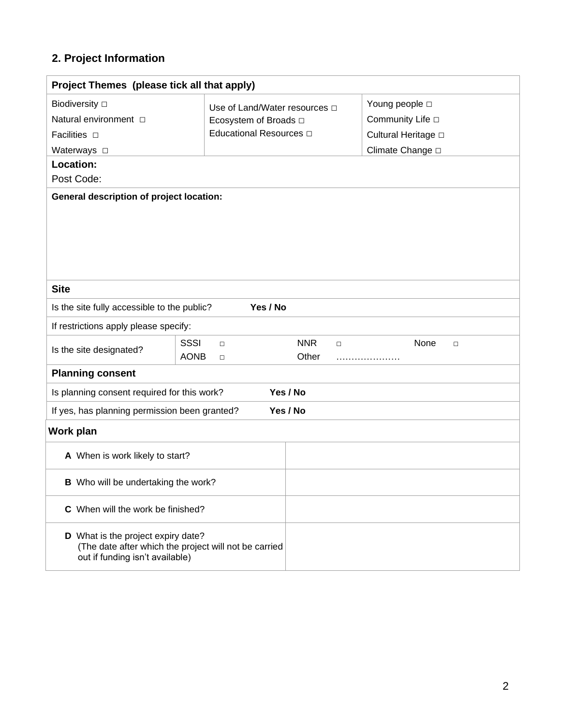# **2. Project Information**

| Project Themes (please tick all that apply)                                                                                    |                                                |                               |                             |  |  |  |  |
|--------------------------------------------------------------------------------------------------------------------------------|------------------------------------------------|-------------------------------|-----------------------------|--|--|--|--|
| <b>Biodiversity</b> □                                                                                                          | Use of Land/Water resources $\Box$             |                               | Young people □              |  |  |  |  |
| Natural environment □                                                                                                          | Ecosystem of Broads $\square$                  |                               | Community Life $\Box$       |  |  |  |  |
| Facilities <b>D</b>                                                                                                            | Educational Resources D                        |                               | Cultural Heritage $\square$ |  |  |  |  |
| Waterways $\square$                                                                                                            |                                                |                               | Climate Change D            |  |  |  |  |
| Location:                                                                                                                      |                                                |                               |                             |  |  |  |  |
| Post Code:                                                                                                                     |                                                |                               |                             |  |  |  |  |
| <b>General description of project location:</b>                                                                                |                                                |                               |                             |  |  |  |  |
| <b>Site</b>                                                                                                                    |                                                |                               |                             |  |  |  |  |
| Is the site fully accessible to the public?                                                                                    | Yes / No                                       |                               |                             |  |  |  |  |
| If restrictions apply please specify:                                                                                          |                                                |                               |                             |  |  |  |  |
| Is the site designated?                                                                                                        | <b>SSSI</b><br>$\Box$<br><b>AONB</b><br>$\Box$ | <b>NNR</b><br>$\Box$<br>Other | None<br>$\Box$              |  |  |  |  |
| <b>Planning consent</b>                                                                                                        |                                                |                               |                             |  |  |  |  |
| Is planning consent required for this work?                                                                                    |                                                | Yes / No                      |                             |  |  |  |  |
| If yes, has planning permission been granted?                                                                                  |                                                | Yes / No                      |                             |  |  |  |  |
| Work plan                                                                                                                      |                                                |                               |                             |  |  |  |  |
| A When is work likely to start?                                                                                                |                                                |                               |                             |  |  |  |  |
| <b>B</b> Who will be undertaking the work?                                                                                     |                                                |                               |                             |  |  |  |  |
| C When will the work be finished?                                                                                              |                                                |                               |                             |  |  |  |  |
| D What is the project expiry date?<br>(The date after which the project will not be carried<br>out if funding isn't available) |                                                |                               |                             |  |  |  |  |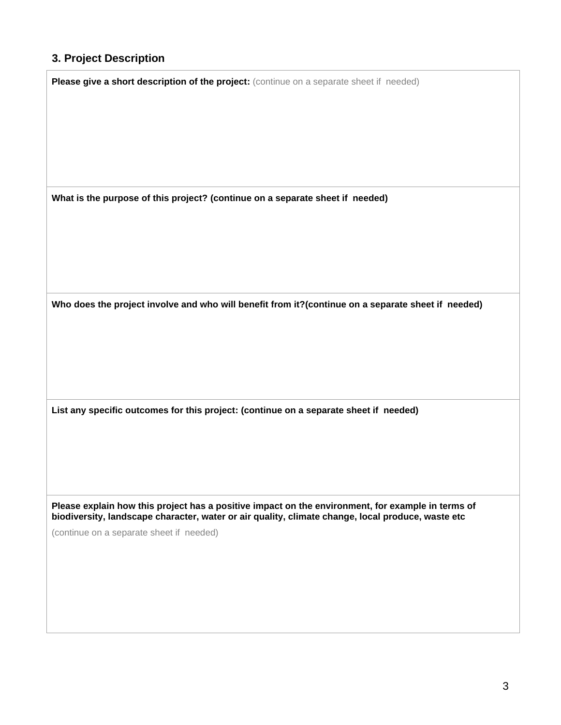### **3. Project Description**

**Please give a short description of the project:** (continue on a separate sheet if needed)

**What is the purpose of this project? (continue on a separate sheet if needed)**

**Who does the project involve and who will benefit from it?(continue on a separate sheet if needed)**

**List any specific outcomes for this project: (continue on a separate sheet if needed)**

**Please explain how this project has a positive impact on the environment, for example in terms of biodiversity, landscape character, water or air quality, climate change, local produce, waste etc**

(continue on a separate sheet if needed)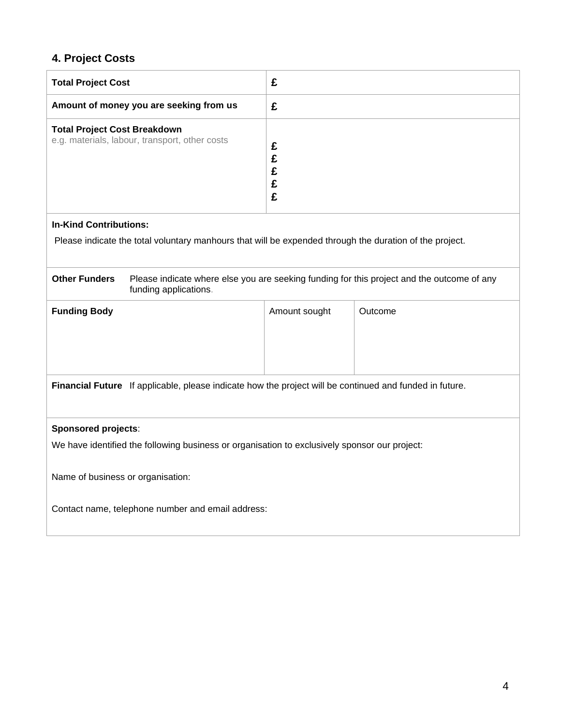## **4. Project Costs**

| <b>Total Project Cost</b>                                                                                                                   | £             |         |  |  |  |
|---------------------------------------------------------------------------------------------------------------------------------------------|---------------|---------|--|--|--|
| Amount of money you are seeking from us                                                                                                     | £             |         |  |  |  |
| <b>Total Project Cost Breakdown</b><br>e.g. materials, labour, transport, other costs                                                       | £<br>とこと      |         |  |  |  |
| <b>In-Kind Contributions:</b>                                                                                                               |               |         |  |  |  |
| Please indicate the total voluntary manhours that will be expended through the duration of the project.                                     |               |         |  |  |  |
| <b>Other Funders</b><br>Please indicate where else you are seeking funding for this project and the outcome of any<br>funding applications. |               |         |  |  |  |
| <b>Funding Body</b>                                                                                                                         | Amount sought | Outcome |  |  |  |
| Financial Future If applicable, please indicate how the project will be continued and funded in future.                                     |               |         |  |  |  |
| <b>Sponsored projects:</b>                                                                                                                  |               |         |  |  |  |
| We have identified the following business or organisation to exclusively sponsor our project:                                               |               |         |  |  |  |
| Name of business or organisation:                                                                                                           |               |         |  |  |  |
| Contact name, telephone number and email address:                                                                                           |               |         |  |  |  |